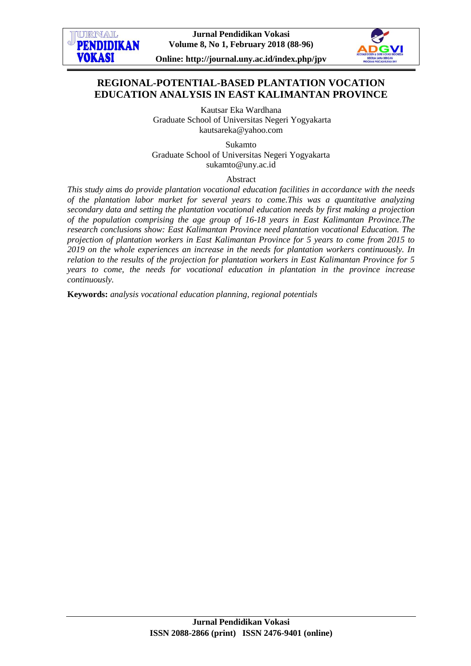



**Online: http://journal.uny.ac.id/index.php/jpv**

# **REGIONAL-POTENTIAL-BASED PLANTATION VOCATION EDUCATION ANALYSIS IN EAST KALIMANTAN PROVINCE**

Kautsar Eka Wardhana Graduate School of Universitas Negeri Yogyakarta [kautsareka@yahoo.com](mailto:kautsareka@yahoo.com)

Sukamto Graduate School of Universitas Negeri Yogyakarta [sukamto@uny.ac.id](mailto:sukamto@uny.ac.id)

## Abstract

*This study aims do provide plantation vocational education facilities in accordance with the needs of the plantation labor market for several years to come.This was a quantitative analyzing secondary data and setting the plantation vocational education needs by first making a projection of the population comprising the age group of 16-18 years in East Kalimantan Province.The research conclusions show: East Kalimantan Province need plantation vocational Education. The projection of plantation workers in East Kalimantan Province for 5 years to come from 2015 to 2019 on the whole experiences an increase in the needs for plantation workers continuously. In relation to the results of the projection for plantation workers in East Kalimantan Province for 5 years to come, the needs for vocational education in plantation in the province increase continuously.*

**Keywords:** *analysis vocational education planning, regional potentials*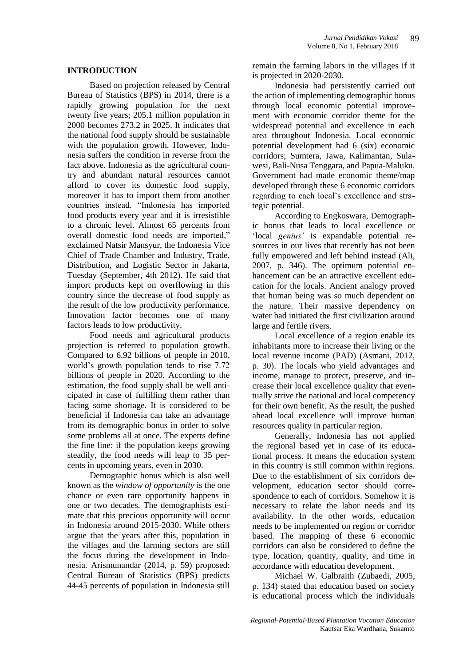## **INTRODUCTION**

Based on projection released by Central Bureau of Statistics (BPS) in 2014, there is a rapidly growing population for the next twenty five years; 205.1 million population in 2000 becomes 273.2 in 2025. It indicates that the national food supply should be sustainable with the population growth. However, Indonesia suffers the condition in reverse from the fact above. Indonesia as the agricultural country and abundant natural resources cannot afford to cover its domestic food supply, moreover it has to import them from another countries instead. "Indonesia has imported food products every year and it is irresistible to a chronic level. Almost 65 percents from overall domestic food needs are imported," exclaimed Natsir Mansyur, the Indonesia Vice Chief of Trade Chamber and Industry, Trade, Distribution, and Logistic Sector in Jakarta, Tuesday (September, 4th 2012). He said that import products kept on overflowing in this country since the decrease of food supply as the result of the low productivity performance. Innovation factor becomes one of many factors leads to low productivity.

Food needs and agricultural products projection is referred to population growth. Compared to 6.92 billions of people in 2010, world"s growth population tends to rise 7.72 billions of people in 2020. According to the estimation, the food supply shall be well anticipated in case of fulfilling them rather than facing some shortage. It is considered to be beneficial if Indonesia can take an advantage from its demographic bonus in order to solve some problems all at once. The experts define the fine line: if the population keeps growing steadily, the food needs will leap to 35 percents in upcoming years, even in 2030.

Demographic bonus which is also well known as the *window of opportunity* is the one chance or even rare opportunity happens in one or two decades. The demographists estimate that this precious opportunity will occur in Indonesia around 2015-2030. While others argue that the years after this, population in the villages and the farming sectors are still the focus during the development in Indonesia. Arismunandar (2014, p. 59) proposed: Central Bureau of Statistics (BPS) predicts 44-45 percents of population in Indonesia still

remain the farming labors in the villages if it is projected in 2020-2030.

Indonesia had persistently carried out the action of implementing demographic bonus through local economic potential improvement with economic corridor theme for the widespread potential and excellence in each area throughout Indonesia. Local economic potential development had 6 (six) economic corridors; Sumtera, Jawa, Kalimantan, Sulawesi, Bali-Nusa Tenggara, and Papua-Maluku. Government had made economic theme/map developed through these 6 economic corridors regarding to each local"s excellence and strategic potential.

According to Engkoswara, Demographic bonus that leads to local excellence or 'local *genius'* is expandable potential resources in our lives that recently has not been fully empowered and left behind instead (Ali, 2007, p. 346). The optimum potential enhancement can be an attractive excellent education for the locals. Ancient analogy proved that human being was so much dependent on the nature. Their massive dependency on water had initiated the first civilization around large and fertile rivers.

Local excellence of a region enable its inhabitants more to increase their living or the local revenue income (PAD) (Asmani, 2012, p. 30). The locals who yield advantages and income, manage to protect, preserve, and increase their local excellence quality that eventually strive the national and local competency for their own benefit. As the result, the pushed ahead local excellence will improve human resources quality in particular region.

Generally, Indonesia has not applied the regional based yet in case of its educational process. It means the education system in this country is still common within regions. Due to the establishment of six corridors development, education sector should correspondence to each of corridors. Somehow it is necessary to relate the labor needs and its availability. In the other words, education needs to be implemented on region or corridor based. The mapping of these 6 economic corridors can also be considered to define the type, location, quantity, quality, and time in accordance with education development.

Michael W. Galbraith (Zubaedi, 2005, p. 134) stated that education based on society is educational process which the individuals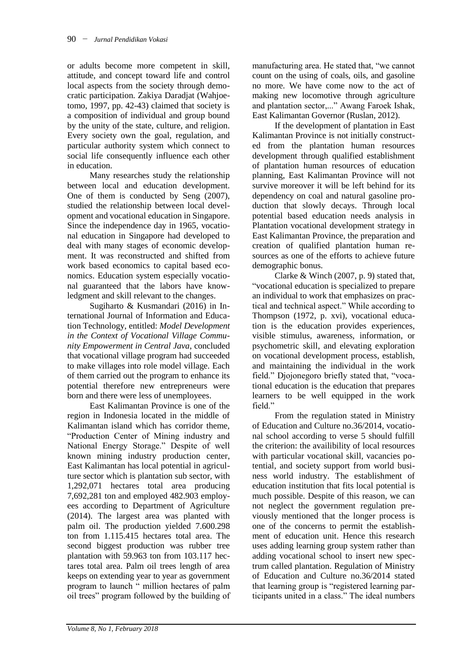or adults become more competent in skill, attitude, and concept toward life and control local aspects from the society through democratic participation. Zakiya Daradjat (Wahjoetomo, 1997, pp. 42-43) claimed that society is a composition of individual and group bound by the unity of the state, culture, and religion. Every society own the goal, regulation, and particular authority system which connect to social life consequently influence each other in education.

Many researches study the relationship between local and education development. One of them is conducted by Seng (2007), studied the relationship between local development and vocational education in Singapore. Since the independence day in 1965, vocational education in Singapore had developed to deal with many stages of economic development. It was reconstructed and shifted from work based economics to capital based economics. Education system especially vocational guaranteed that the labors have knowledgment and skill relevant to the changes.

Sugiharto & Kusmandari (2016) in International Journal of Information and Education Technology, entitled: *Model Development in the Context of Vocational Village Community Empowerment in Central Java*, concluded that vocational village program had succeeded to make villages into role model village. Each of them carried out the program to enhance its potential therefore new entrepreneurs were born and there were less of unemployees.

East Kalimantan Province is one of the region in Indonesia located in the middle of Kalimantan island which has corridor theme, "Production Center of Mining industry and National Energy Storage." Despite of well known mining industry production center, East Kalimantan has local potential in agriculture sector which is plantation sub sector, with 1,292,071 hectares total area producing 7,692,281 ton and employed 482.903 employees according to Department of Agriculture (2014). The largest area was planted with palm oil. The production yielded 7.600.298 ton from 1.115.415 hectares total area. The second biggest production was rubber tree plantation with 59.963 ton from 103.117 hectares total area. Palm oil trees length of area keeps on extending year to year as government program to launch " million hectares of palm oil trees" program followed by the building of manufacturing area. He stated that, "we cannot count on the using of coals, oils, and gasoline no more. We have come now to the act of making new locomotive through agriculture and plantation sector,..." Awang Faroek Ishak, East Kalimantan Governor (Ruslan, 2012).

If the development of plantation in East Kalimantan Province is not initially constructed from the plantation human resources development through qualified establishment of plantation human resources of education planning, East Kalimantan Province will not survive moreover it will be left behind for its dependency on coal and natural gasoline production that slowly decays. Through local potential based education needs analysis in Plantation vocational development strategy in East Kalimantan Province, the preparation and creation of qualified plantation human resources as one of the efforts to achieve future demographic bonus.

Clarke & Winch (2007, p. 9) stated that, "vocational education is specialized to prepare an individual to work that emphasizes on practical and technical aspect." While according to Thompson (1972, p. xvi), vocational education is the education provides experiences, visible stimulus, awareness, information, or psychometric skill, and elevating exploration on vocational development process, establish, and maintaining the individual in the work field." Djojonegoro briefly stated that, "vocational education is the education that prepares learners to be well equipped in the work field."

From the regulation stated in Ministry of Education and Culture no.36/2014, vocational school according to verse 5 should fulfill the criterion: the availibility of local resources with particular vocational skill, vacancies potential, and society support from world business world industry. The establishment of education institution that fits local potential is much possible. Despite of this reason, we can not neglect the government regulation previously mentioned that the longer process is one of the concerns to permit the establishment of education unit. Hence this research uses adding learning group system rather than adding vocational school to insert new spectrum called plantation. Regulation of Ministry of Education and Culture no.36/2014 stated that learning group is "registered learning participants united in a class." The ideal numbers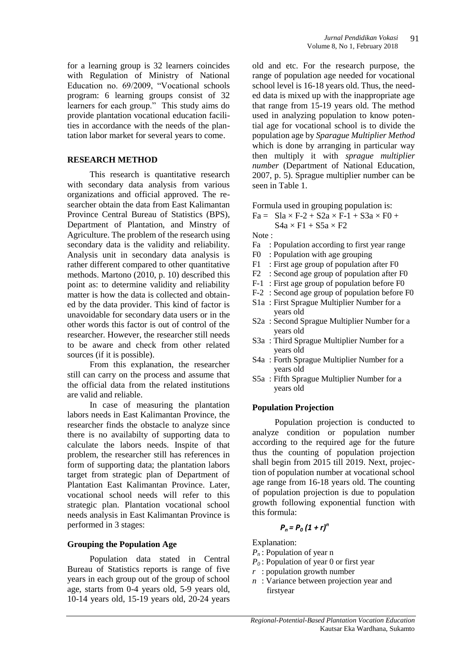for a learning group is 32 learners coincides with Regulation of Ministry of National Education no. 69/2009, "Vocational schools program: 6 learning groups consist of 32 learners for each group." This study aims do provide plantation vocational education facilities in accordance with the needs of the plantation labor market for several years to come.

# **RESEARCH METHOD**

This research is quantitative research with secondary data analysis from various organizations and official approved. The researcher obtain the data from East Kalimantan Province Central Bureau of Statistics (BPS), Department of Plantation, and Minstry of Agriculture. The problem of the research using secondary data is the validity and reliability. Analysis unit in secondary data analysis is rather different compared to other quantitative methods. Martono (2010, p. 10) described this point as: to determine validity and reliability matter is how the data is collected and obtained by the data provider. This kind of factor is unavoidable for secondary data users or in the other words this factor is out of control of the researcher. However, the researcher still needs to be aware and check from other related sources (if it is possible).

From this explanation, the researcher still can carry on the process and assume that the official data from the related institutions are valid and reliable.

In case of measuring the plantation labors needs in East Kalimantan Province, the researcher finds the obstacle to analyze since there is no availabilty of supporting data to calculate the labors needs. Inspite of that problem, the researcher still has references in form of supporting data; the plantation labors target from strategic plan of Department of Plantation East Kalimantan Province. Later, vocational school needs will refer to this strategic plan. Plantation vocational school needs analysis in East Kalimantan Province is performed in 3 stages:

## **Grouping the Population Age**

Population data stated in Central Bureau of Statistics reports is range of five years in each group out of the group of school age, starts from 0-4 years old, 5-9 years old, 10-14 years old, 15-19 years old, 20-24 years old and etc. For the research purpose, the range of population age needed for vocational school level is 16-18 years old. Thus, the needed data is mixed up with the inappropriate age that range from 15-19 years old. The method used in analyzing population to know potential age for vocational school is to divide the population age by *Sparague Multiplier Method* which is done by arranging in particular way then multiply it with *sprague multiplier number* (Department of National Education, 2007, p. 5). Sprague multiplier number can be seen in Table 1.

Formula used in grouping population is:

 $Fa = SIa \times F-2 + S2a \times F-1 + S3a \times F0 +$  $S4a \times F1 + S5a \times F2$ 

Note :

- Fa : Population according to first year range
- F0 : Population with age grouping
- F1 : First age group of population after F0
- F2 : Second age group of population after F0
- F-1 : First age group of population before F0
- F-2 : Second age group of population before F0
- S1a : First Sprague Multiplier Number for a years old
- S2a : Second Sprague Multiplier Number for a years old
- S3a : Third Sprague Multiplier Number for a years old
- S4a : Forth Sprague Multiplier Number for a years old
- S5a : Fifth Sprague Multiplier Number for a years old

## **Population Projection**

Population projection is conducted to analyze condition or population number according to the required age for the future thus the counting of population projection shall begin from 2015 till 2019. Next, projection of population number at vocational school age range from 16-18 years old. The counting of population projection is due to population growth following exponential function with this formula:

# $P_n = P_0 (1 + r)^n$

Explanation:

- *P<sup>n</sup>* : Population of year n
- *P<sup>0</sup>* : Population of year 0 or first year
- *r* : population growth number
- *n* : Variance between projection year and firstyear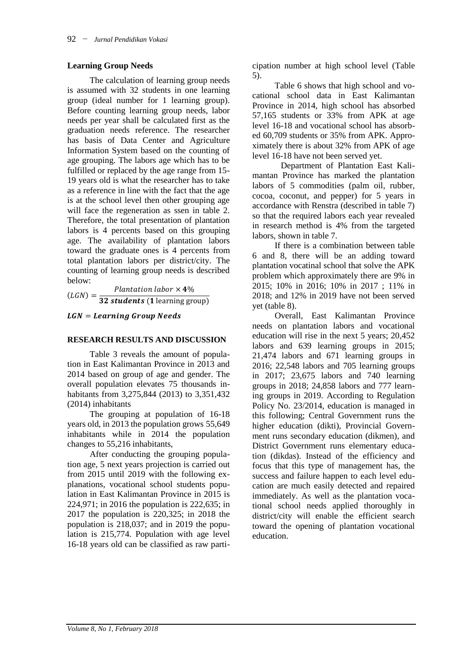# **Learning Group Needs**

The calculation of learning group needs is assumed with 32 students in one learning group (ideal number for 1 learning group). Before counting learning group needs, labor needs per year shall be calculated first as the graduation needs reference. The researcher has basis of Data Center and Agriculture Information System based on the counting of age grouping. The labors age which has to be fulfilled or replaced by the age range from 15- 19 years old is what the researcher has to take as a reference in line with the fact that the age is at the school level then other grouping age will face the regeneration as ssen in table 2. Therefore, the total presentation of plantation labors is 4 percents based on this grouping age. The availability of plantation labors toward the graduate ones is 4 percents from total plantation labors per district/city. The counting of learning group needs is described below:

 $(LGN) = \frac{1}{32}$  students (1 learning group) Plantation labor  $\times$  4%

 $LGN = Learning Group$  Needs

## **RESEARCH RESULTS AND DISCUSSION**

Table 3 reveals the amount of population in East Kalimantan Province in 2013 and 2014 based on group of age and gender. The overall population elevates 75 thousands inhabitants from 3,275,844 (2013) to 3,351,432 (2014) inhabitants

The grouping at population of 16-18 years old, in 2013 the population grows 55,649 inhabitants while in 2014 the population changes to 55,216 inhabitants,

After conducting the grouping population age, 5 next years projection is carried out from 2015 until 2019 with the following explanations, vocational school students population in East Kalimantan Province in 2015 is 224,971; in 2016 the population is 222,635; in 2017 the population is 220,325; in 2018 the population is 218,037; and in 2019 the population is 215,774. Population with age level 16-18 years old can be classified as raw participation number at high school level (Table 5).

Table 6 shows that high school and vocational school data in East Kalimantan Province in 2014, high school has absorbed 57,165 students or 33% from APK at age level 16-18 and vocational school has absorbed 60,709 students or 35% from APK. Approximately there is about 32% from APK of age level 16-18 have not been served yet.

Department of Plantation East Kalimantan Province has marked the plantation labors of 5 commodities (palm oil, rubber, cocoa, coconut, and pepper) for 5 years in accordance with Renstra (described in table 7) so that the required labors each year revealed in research method is 4% from the targeted labors, shown in table 7.

If there is a combination between table 6 and 8, there will be an adding toward plantation vocatinal school that solve the APK problem which approximately there are 9% in 2015; 10% in 2016; 10% in 2017 ; 11% in 2018; and 12% in 2019 have not been served yet (table 8).

Overall, East Kalimantan Province needs on plantation labors and vocational education will rise in the next 5 years; 20,452 labors and 639 learning groups in 2015; 21,474 labors and 671 learning groups in 2016; 22,548 labors and 705 learning groups in 2017; 23,675 labors and 740 learning groups in 2018; 24,858 labors and 777 learning groups in 2019. According to Regulation Policy No. 23/2014, education is managed in this following; Central Government runs the higher education (dikti), Provincial Government runs secondary education (dikmen), and District Government runs elementary education (dikdas). Instead of the efficiency and focus that this type of management has, the success and failure happen to each level education are much easily detected and repaired immediately. As well as the plantation vocational school needs applied thoroughly in district/city will enable the efficient search toward the opening of plantation vocational education.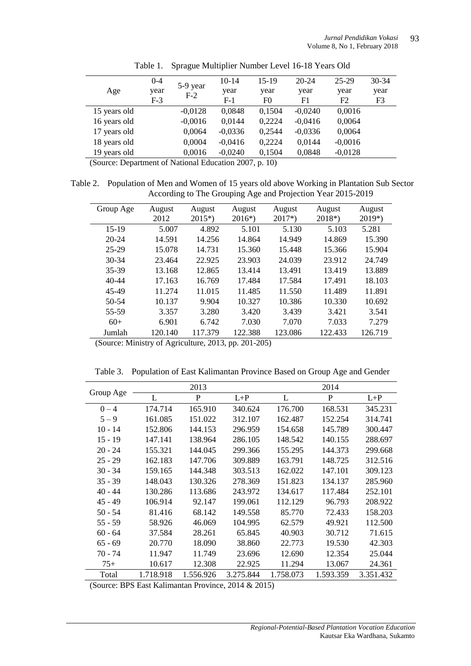|              | $0 - 4$ | 5-9 year  | $10-14$   | $15-19$              | $20 - 24$ | 25-29          | 30-34 |
|--------------|---------|-----------|-----------|----------------------|-----------|----------------|-------|
| Age          | year    |           | year      | year                 | year      | year           | year  |
|              | $F-3$   | $F-2$     | $F-1$     | F0                   | F1        | F <sub>2</sub> | F3    |
| 15 years old |         | $-0,0128$ | 0.0848    | 0,1504               | $-0,0240$ | 0,0016         |       |
| 16 years old |         | $-0,0016$ | 0,0144    | 0,2224               | $-0,0416$ | 0,0064         |       |
| 17 years old |         | 0,0064    | $-0,0336$ | 0,2544               | $-0,0336$ | 0,0064         |       |
| 18 years old |         | 0,0004    | $-0.0416$ | 0,2224               | 0,0144    | $-0,0016$      |       |
| 19 years old |         | 0,0016    | $-0,0240$ | 0,1504               | 0,0848    | $-0,0128$      |       |
|              |         | .         | .         | $\sim$ $\sim$ $\sim$ |           |                |       |

Table 1. Sprague Multiplier Number Level 16-18 Years Old

(Source: Department of National Education 2007, p. 10)

Table 2. Population of Men and Women of 15 years old above Working in Plantation Sub Sector According to The Grouping Age and Projection Year 2015-2019

| Group Age<br>August<br>August<br>August<br>August<br>August<br>August<br>$2018*)$<br>$2015*)$<br>$2017*)$<br>$2019*)$<br>2012<br>$2016*)$<br>$15-19$<br>4.892<br>5.101<br>5.130<br>5.103<br>5.007<br>5.281<br>14.591<br>14.949<br>15.390<br>$20 - 24$<br>14.256<br>14.864<br>14.869<br>25-29<br>15.078<br>14.731<br>15.360<br>15.448<br>15.366<br>15.904<br>24.039<br>23.912<br>$30 - 34$<br>22.925<br>23.903<br>24.749<br>23.464<br>13.168<br>12.865<br>13.414<br>13.491<br>13.419<br>13.889<br>35-39<br>17.484<br>17.584<br>17.491<br>18.103<br>40-44<br>17.163<br>16.769<br>11.485<br>11.550<br>11.489<br>11.891<br>45-49<br>11.274<br>11.015<br>10.386<br>10.692<br>50-54<br>10.137<br>9.904<br>10.327<br>10.330<br>3.439<br>55-59<br>3.357<br>3.280<br>3.420<br>3.421<br>3.541<br>7.030<br>7.070<br>7.279<br>$60+$<br>6.901<br>7.033<br>6.742<br>122.388<br>122.433<br>Jumlah |         |         |         |         |
|------------------------------------------------------------------------------------------------------------------------------------------------------------------------------------------------------------------------------------------------------------------------------------------------------------------------------------------------------------------------------------------------------------------------------------------------------------------------------------------------------------------------------------------------------------------------------------------------------------------------------------------------------------------------------------------------------------------------------------------------------------------------------------------------------------------------------------------------------------------------------------|---------|---------|---------|---------|
|                                                                                                                                                                                                                                                                                                                                                                                                                                                                                                                                                                                                                                                                                                                                                                                                                                                                                    |         |         |         |         |
|                                                                                                                                                                                                                                                                                                                                                                                                                                                                                                                                                                                                                                                                                                                                                                                                                                                                                    |         |         |         |         |
|                                                                                                                                                                                                                                                                                                                                                                                                                                                                                                                                                                                                                                                                                                                                                                                                                                                                                    |         |         |         |         |
|                                                                                                                                                                                                                                                                                                                                                                                                                                                                                                                                                                                                                                                                                                                                                                                                                                                                                    |         |         |         |         |
|                                                                                                                                                                                                                                                                                                                                                                                                                                                                                                                                                                                                                                                                                                                                                                                                                                                                                    |         |         |         |         |
|                                                                                                                                                                                                                                                                                                                                                                                                                                                                                                                                                                                                                                                                                                                                                                                                                                                                                    |         |         |         |         |
|                                                                                                                                                                                                                                                                                                                                                                                                                                                                                                                                                                                                                                                                                                                                                                                                                                                                                    |         |         |         |         |
|                                                                                                                                                                                                                                                                                                                                                                                                                                                                                                                                                                                                                                                                                                                                                                                                                                                                                    |         |         |         |         |
|                                                                                                                                                                                                                                                                                                                                                                                                                                                                                                                                                                                                                                                                                                                                                                                                                                                                                    |         |         |         |         |
|                                                                                                                                                                                                                                                                                                                                                                                                                                                                                                                                                                                                                                                                                                                                                                                                                                                                                    |         |         |         |         |
|                                                                                                                                                                                                                                                                                                                                                                                                                                                                                                                                                                                                                                                                                                                                                                                                                                                                                    |         |         |         |         |
|                                                                                                                                                                                                                                                                                                                                                                                                                                                                                                                                                                                                                                                                                                                                                                                                                                                                                    |         |         |         |         |
|                                                                                                                                                                                                                                                                                                                                                                                                                                                                                                                                                                                                                                                                                                                                                                                                                                                                                    | 120.140 | 117.379 | 123.086 | 126.719 |

(Source: Ministry of Agriculture, 2013, pp. 201-205)

|  | Table 3. Population of East Kalimantan Province Based on Group Age and Gender |  |  |  |
|--|-------------------------------------------------------------------------------|--|--|--|
|  |                                                                               |  |  |  |

| Group Age |           | 2013         |           |           | 2014      |           |
|-----------|-----------|--------------|-----------|-----------|-----------|-----------|
|           | L         | $\mathbf{P}$ | $L+P$     | L         | P         | $L+P$     |
| $0 - 4$   | 174.714   | 165.910      | 340.624   | 176.700   | 168.531   | 345.231   |
| $5 - 9$   | 161.085   | 151.022      | 312.107   | 162.487   | 152.254   | 314.741   |
| $10 - 14$ | 152.806   | 144.153      | 296.959   | 154.658   | 145.789   | 300.447   |
| $15 - 19$ | 147.141   | 138.964      | 286.105   | 148.542   | 140.155   | 288.697   |
| $20 - 24$ | 155.321   | 144.045      | 299.366   | 155.295   | 144.373   | 299.668   |
| $25 - 29$ | 162.183   | 147.706      | 309.889   | 163.791   | 148.725   | 312.516   |
| $30 - 34$ | 159.165   | 144.348      | 303.513   | 162.022   | 147.101   | 309.123   |
| $35 - 39$ | 148.043   | 130.326      | 278.369   | 151.823   | 134.137   | 285.960   |
| $40 - 44$ | 130.286   | 113.686      | 243.972   | 134.617   | 117.484   | 252.101   |
| $45 - 49$ | 106.914   | 92.147       | 199.061   | 112.129   | 96.793    | 208.922   |
| $50 - 54$ | 81.416    | 68.142       | 149.558   | 85.770    | 72.433    | 158.203   |
| $55 - 59$ | 58.926    | 46.069       | 104.995   | 62.579    | 49.921    | 112.500   |
| $60 - 64$ | 37.584    | 28.261       | 65.845    | 40.903    | 30.712    | 71.615    |
| $65 - 69$ | 20.770    | 18.090       | 38.860    | 22.773    | 19.530    | 42.303    |
| $70 - 74$ | 11.947    | 11.749       | 23.696    | 12.690    | 12.354    | 25.044    |
| $75+$     | 10.617    | 12.308       | 22.925    | 11.294    | 13.067    | 24.361    |
| Total     | 1.718.918 | 1.556.926    | 3.275.844 | 1.758.073 | 1.593.359 | 3.351.432 |

(Source: BPS East Kalimantan Province, 2014 & 2015)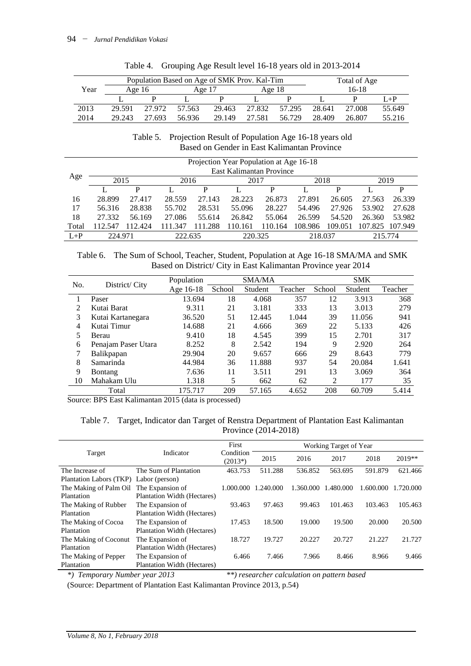|      | Population Based on Age of SMK Prov. Kal-Tim<br>Total of Age |        |        |        |        |        |        |        |         |
|------|--------------------------------------------------------------|--------|--------|--------|--------|--------|--------|--------|---------|
| Year | Age $16$                                                     |        | Age 17 |        | Age 18 |        |        | 16-18  |         |
|      |                                                              |        |        |        |        |        |        |        | $I + P$ |
| 2013 | 29.591                                                       | 27.972 | 57.563 | 29.463 | 27.832 | 57.295 | 28.641 | 27.008 | 55.649  |
| 2014 | 29.243                                                       | 27.693 | 56.936 | 29.149 | 27.581 | 56.729 | 28.409 | 26.807 | 55.216  |

|  | Table 4. Grouping Age Result level 16-18 years old in 2013-2014 |  |  |  |
|--|-----------------------------------------------------------------|--|--|--|
|--|-----------------------------------------------------------------|--|--|--|

#### Table 5. Projection Result of Population Age 16-18 years old Based on Gender in East Kalimantan Province

|         | Projection Year Population at Age 16-18 |         |         |         |         |         |         |         |         |         |
|---------|-----------------------------------------|---------|---------|---------|---------|---------|---------|---------|---------|---------|
|         | East Kalimantan Province                |         |         |         |         |         |         |         |         |         |
| Age     | 2015<br>2016<br>2017                    |         |         |         |         |         |         | 2018    | 2019    |         |
|         |                                         | р       |         | P       |         | P       |         | P       |         | P       |
| 16      | 28.899                                  | 27.417  | 28.559  | 27.143  | 28.223  | 26.873  | 27.891  | 26.605  | 27.563  | 26.339  |
| 17      | 56.316                                  | 28.838  | 55.702  | 28.531  | 55.096  | 28.227  | 54.496  | 27.926  | 53.902  | 27.628  |
| 18      | 27.332                                  | 56.169  | 27.086  | 55.614  | 26.842  | 55.064  | 26.599  | 54.520  | 26.360  | 53.982  |
| Total   | 112.547                                 | 112.424 | 111.347 | 111.288 | 110.161 | 110.164 | 108.986 | 109.051 | 107.825 | 107.949 |
| $L + P$ | 224.971                                 |         | 222.635 |         | 220.325 |         | 218.037 |         | 215.774 |         |

Table 6. The Sum of School, Teacher, Student, Population at Age 16-18 SMA/MA and SMK Based on District/ City in East Kalimantan Province year 2014

| No. |                     | Population |        | <b>SMA/MA</b>  |         |                | <b>SMK</b> |         |  |  |
|-----|---------------------|------------|--------|----------------|---------|----------------|------------|---------|--|--|
|     | District/City       | Age 16-18  | School | <b>Student</b> | Teacher | School         | Student    | Teacher |  |  |
|     | Paser               | 13.694     | 18     | 4.068          | 357     | 12             | 3.913      | 368     |  |  |
|     | Kutai Barat         | 9.311      | 21     | 3.181          | 333     | 13             | 3.013      | 279     |  |  |
| 3   | Kutai Kartanegara   | 36.520     | 51     | 12.445         | 1.044   | 39             | 11.056     | 941     |  |  |
| 4   | Kutai Timur         | 14.688     | 21     | 4.666          | 369     | 22             | 5.133      | 426     |  |  |
|     | Berau               | 9.410      | 18     | 4.545          | 399     | 15             | 2.701      | 317     |  |  |
| 6   | Penajam Paser Utara | 8.252      | 8      | 2.542          | 194     | 9              | 2.920      | 264     |  |  |
|     | Balikpapan          | 29.904     | 20     | 9.657          | 666     | 29             | 8.643      | 779     |  |  |
| 8   | Samarinda           | 44.984     | 36     | 11.888         | 937     | 54             | 20.084     | 1.641   |  |  |
| 9   | Bontang             | 7.636      | 11     | 3.511          | 291     | 13             | 3.069      | 364     |  |  |
| 10  | Mahakam Ulu         | 1.318      | 5      | 662            | 62      | $\overline{2}$ | 177        | 35      |  |  |
|     | Total               | 175.717    | 209    | 57.165         | 4.652   | 208            | 60.709     | 5.414   |  |  |

Source: BPS East Kalimantan 2015 (data is processed)

## Table 7. Target, Indicator dan Target of Renstra Department of Plantation East Kalimantan Province (2014-2018)

|                                        |                             | First                  |           | Working Target of Year |           |           |           |  |
|----------------------------------------|-----------------------------|------------------------|-----------|------------------------|-----------|-----------|-----------|--|
| Target                                 | Indicator                   | Condition<br>$(2013*)$ | 2015      | 2016                   | 2017      | 2018      | $2019**$  |  |
| The Increase of                        | The Sum of Plantation       | 463.753                | 511.288   | 536.852                | 563.695   | 591.879   | 621.466   |  |
| Plantation Labors (TKP) Labor (person) |                             |                        |           |                        |           |           |           |  |
| The Making of Palm Oil                 | The Expansion of            | 1.000.000              | 1.240.000 | 1.360.000              | 1.480.000 | 1.600.000 | 1.720.000 |  |
| Plantation                             | Plantation Width (Hectares) |                        |           |                        |           |           |           |  |
| The Making of Rubber                   | The Expansion of            | 93.463                 | 97.463    | 99.463                 | 101.463   | 103.463   | 105.463   |  |
| Plantation                             | Plantation Width (Hectares) |                        |           |                        |           |           |           |  |
| The Making of Cocoa                    | The Expansion of            | 17.453                 | 18.500    | 19,000                 | 19.500    | 20,000    | 20.500    |  |
| Plantation                             | Plantation Width (Hectares) |                        |           |                        |           |           |           |  |
| The Making of Coconut                  | The Expansion of            | 18.727                 | 19.727    | 20.227                 | 20.727    | 21.227    | 21.727    |  |
| Plantation                             | Plantation Width (Hectares) |                        |           |                        |           |           |           |  |
| The Making of Pepper                   | The Expansion of            | 6.466                  | 7.466     | 7.966                  | 8.466     | 8.966     | 9.466     |  |
| Plantation                             | Plantation Width (Hectares) |                        |           |                        |           |           |           |  |

*\*) Temporary Number year 2013 \*\*) researcher calculation on pattern based*

(Source: Department of Plantation East Kalimantan Province 2013, p.54)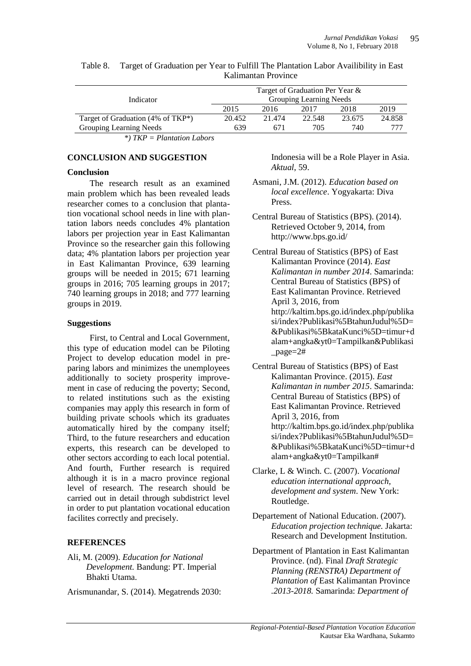|                                       | Target of Graduation Per Year & |        |                         |        |        |  |  |  |
|---------------------------------------|---------------------------------|--------|-------------------------|--------|--------|--|--|--|
| Indicator                             |                                 |        | Grouping Learning Needs |        |        |  |  |  |
|                                       | 2015                            | 2016   | 2017                    | 2018   | 2019   |  |  |  |
| Target of Graduation (4% of $TKP^*$ ) | 20.452                          | 21.474 | 22.548                  | 23.675 | 24.858 |  |  |  |
| Grouping Learning Needs               | 639                             | 671    | 705                     | 740    | 777    |  |  |  |
| *) $TKP = Plantation Laboratory$      |                                 |        |                         |        |        |  |  |  |

Table 8. Target of Graduation per Year to Fulfill The Plantation Labor Availibility in East Kalimantan Province

#### **CONCLUSION AND SUGGESTION**

#### **Conclusion**

The research result as an examined main problem which has been revealed leads researcher comes to a conclusion that plantation vocational school needs in line with plantation labors needs concludes 4% plantation labors per projection year in East Kalimantan Province so the researcher gain this following data; 4% plantation labors per projection year in East Kalimantan Province, 639 learning groups will be needed in 2015; 671 learning groups in 2016; 705 learning groups in 2017; 740 learning groups in 2018; and 777 learning groups in 2019.

#### **Suggestions**

First, to Central and Local Government, this type of education model can be Piloting Project to develop education model in preparing labors and minimizes the unemployees additionally to society prosperity improvement in case of reducing the poverty; Second, to related institutions such as the existing companies may apply this research in form of building private schools which its graduates automatically hired by the company itself; Third, to the future researchers and education experts, this research can be developed to other sectors according to each local potential. And fourth, Further research is required although it is in a macro province regional level of research. The research should be carried out in detail through subdistrict level in order to put plantation vocational education facilites correctly and precisely.

## **REFERENCES**

- Ali, M. (2009). *Education for National Development.* Bandung: PT. Imperial Bhakti Utama.
- Arismunandar, S. (2014). Megatrends 2030:

Indonesia will be a Role Player in Asia. *Aktual*, 59.

- Asmani, J.M. (2012). *Education based on local excellence*. Yogyakarta: Diva Press.
- Central Bureau of Statistics (BPS). (2014). Retrieved October 9, 2014, from <http://www.bps.go.id/>
- Central Bureau of Statistics (BPS) of East Kalimantan Province (2014). *East Kalimantan in number 2014*. Samarinda: Central Bureau of Statistics (BPS) of East Kalimantan Province. Retrieved April 3, 2016, from [http://kaltim.bps.go.id/index.php/publika](http://kaltim.bps.go.id/index.php/publikasi/index?Publikasi%5BtahunJudul%5D=&Publikasi%5BkataKunci%5D=timur+dalam+angka&yt0=Tampilkan&Publikasi_page=2) [si/index?Publikasi%5BtahunJudul%5D=](http://kaltim.bps.go.id/index.php/publikasi/index?Publikasi%5BtahunJudul%5D=&Publikasi%5BkataKunci%5D=timur+dalam+angka&yt0=Tampilkan&Publikasi_page=2) [&Publikasi%5BkataKunci%5D=timur+d](http://kaltim.bps.go.id/index.php/publikasi/index?Publikasi%5BtahunJudul%5D=&Publikasi%5BkataKunci%5D=timur+dalam+angka&yt0=Tampilkan&Publikasi_page=2) [alam+angka&yt0=Tampilkan&Publikasi](http://kaltim.bps.go.id/index.php/publikasi/index?Publikasi%5BtahunJudul%5D=&Publikasi%5BkataKunci%5D=timur+dalam+angka&yt0=Tampilkan&Publikasi_page=2) [\\_page=2#](http://kaltim.bps.go.id/index.php/publikasi/index?Publikasi%5BtahunJudul%5D=&Publikasi%5BkataKunci%5D=timur+dalam+angka&yt0=Tampilkan&Publikasi_page=2)
- Central Bureau of Statistics (BPS) of East Kalimantan Province. (2015). *East Kalimantan in number 2015*. Samarinda: Central Bureau of Statistics (BPS) of East Kalimantan Province. Retrieved April 3, 2016, from [http://kaltim.bps.go.id/index.php/publika](http://kaltim.bps.go.id/index.php/publikasi/index?Publikasi%5BtahunJudul%5D=&Publikasi%5BkataKunci%5D=timur+dalam+angka&yt0=Tampilkan) [si/index?Publikasi%5BtahunJudul%5D=](http://kaltim.bps.go.id/index.php/publikasi/index?Publikasi%5BtahunJudul%5D=&Publikasi%5BkataKunci%5D=timur+dalam+angka&yt0=Tampilkan) [&Publikasi%5BkataKunci%5D=timur+d](http://kaltim.bps.go.id/index.php/publikasi/index?Publikasi%5BtahunJudul%5D=&Publikasi%5BkataKunci%5D=timur+dalam+angka&yt0=Tampilkan) [alam+angka&yt0=Tampilkan#](http://kaltim.bps.go.id/index.php/publikasi/index?Publikasi%5BtahunJudul%5D=&Publikasi%5BkataKunci%5D=timur+dalam+angka&yt0=Tampilkan)
- Clarke, L & Winch. C. (2007). *Vocational education international approach, development and system*. New York: Routledge.
- Departement of National Education. (2007). *Education projection technique.* Jakarta: Research and Development Institution.
- Department of Plantation in East Kalimantan Province. (nd). Final *Draft Strategic Planning (RENSTRA) Department of Plantation of* East Kalimantan Province *.2013-2018.* Samarinda: *Department of*